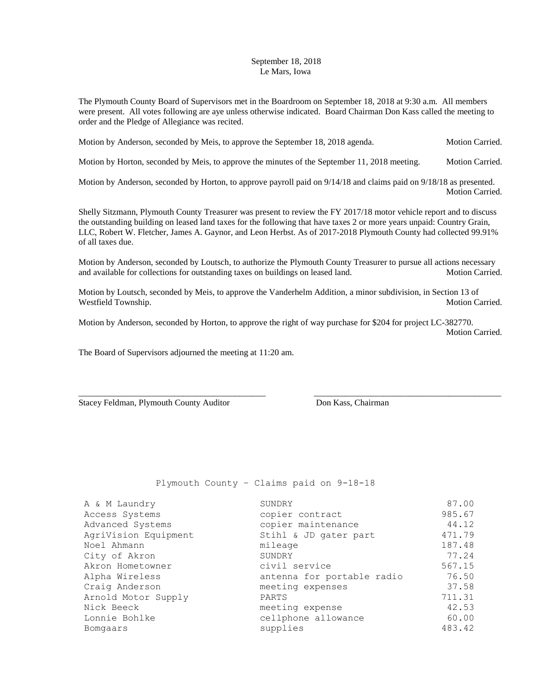## September 18, 2018 Le Mars, Iowa

The Plymouth County Board of Supervisors met in the Boardroom on September 18, 2018 at 9:30 a.m. All members were present. All votes following are aye unless otherwise indicated. Board Chairman Don Kass called the meeting to order and the Pledge of Allegiance was recited.

Motion by Anderson, seconded by Meis, to approve the September 18, 2018 agenda. Motion Carried.

Motion by Horton, seconded by Meis, to approve the minutes of the September 11, 2018 meeting. Motion Carried.

Motion by Anderson, seconded by Horton, to approve payroll paid on 9/14/18 and claims paid on 9/18/18 as presented. Motion Carried.

Shelly Sitzmann, Plymouth County Treasurer was present to review the FY 2017/18 motor vehicle report and to discuss the outstanding building on leased land taxes for the following that have taxes 2 or more years unpaid: Country Grain, LLC, Robert W. Fletcher, James A. Gaynor, and Leon Herbst. As of 2017-2018 Plymouth County had collected 99.91% of all taxes due.

Motion by Anderson, seconded by Loutsch, to authorize the Plymouth County Treasurer to pursue all actions necessary and available for collections for outstanding taxes on buildings on leased land. Motion Carried.

Motion by Loutsch, seconded by Meis, to approve the Vanderhelm Addition, a minor subdivision, in Section 13 of Westfield Township. Motion Carried. The Motion Carried.

Motion by Anderson, seconded by Horton, to approve the right of way purchase for \$204 for project LC-382770. Motion Carried.

\_\_\_\_\_\_\_\_\_\_\_\_\_\_\_\_\_\_\_\_\_\_\_\_\_\_\_\_\_\_\_\_\_\_\_\_\_\_\_\_\_\_\_ \_\_\_\_\_\_\_\_\_\_\_\_\_\_\_\_\_\_\_\_\_\_\_\_\_\_\_\_\_\_\_\_\_\_\_\_\_\_\_\_\_\_\_

The Board of Supervisors adjourned the meeting at 11:20 am.

Stacey Feldman, Plymouth County Auditor Don Kass, Chairman

Plymouth County – Claims paid on 9-18-18

| A & M Laundry        | SUNDRY                     | 87.00  |
|----------------------|----------------------------|--------|
| Access Systems       | copier contract            | 985.67 |
| Advanced Systems     | copier maintenance         | 44.12  |
| AgriVision Equipment | Stihl & JD gater part      | 471.79 |
| Noel Ahmann          | mileage                    | 187.48 |
| City of Akron        | SUNDRY                     | 77.24  |
| Akron Hometowner     | civil service              | 567.15 |
| Alpha Wireless       | antenna for portable radio | 76.50  |
| Craig Anderson       | meeting expenses           | 37.58  |
| Arnold Motor Supply  | PARTS                      | 711.31 |
| Nick Beeck           | meeting expense            | 42.53  |
| Lonnie Bohlke        | cellphone allowance        | 60.00  |
| Bomgaars             | supplies                   | 483.42 |
|                      |                            |        |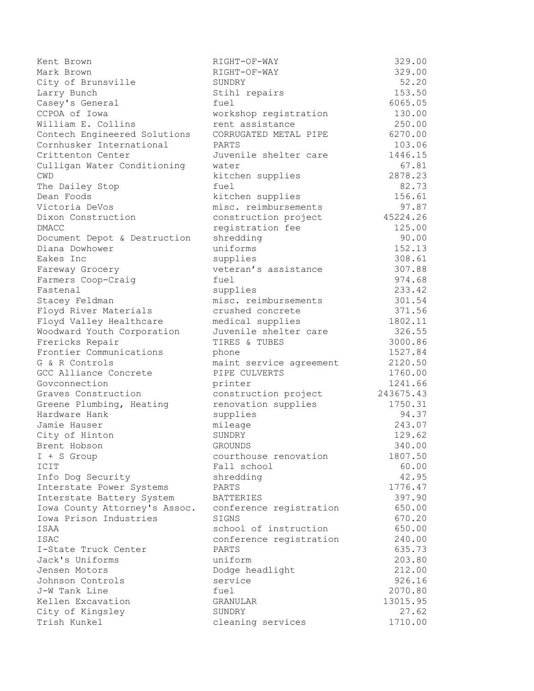Kent Brown and the CHERL RIGHT-OF-WAY CHERL AND SAME SAME SERVICE SERVICE SERVICE SERVICE SERVICE SERVICE SERVICE SERVICE SERVICE SERVICE SERVICE SERVICE SERVICE SERVICE SERVICE SERVICE SERVICE SERVICE SERVICE SERVICE SERV Mark Brown RIGHT-OF-WAY 329.00 City of Brunsville SUNDRY SUNDRY 52.20 Larry Bunch **Stihl repairs** 153.50 Casey's General fuel fuel 6065.05 CCPOA of Iowa workshop registration 130.00 William E. Collins rent assistance 250.00 Contech Engineered Solutions CORRUGATED METAL PIPE 6270.00 Cornhusker International PARTS 103.06 Crittenton Center Juvenile shelter care 1446.15 Culligan Water Conditioning water 67.81 CWD kitchen supplies 2878.23 The Dailey Stop **fuel** 62.73 Dean Foods kitchen supplies 156.61 Victoria DeVos misc. reimbursements 97.87 Dixon Construction construction project 45224.26 DMACC 125.00 Document Depot & Destruction shredding 80.00 Diana Dowhower uniforms 152.13 Eakes Inc supplies 308.61 Fareway Grocery **1988** veteran's assistance 307.88 Farmers Coop-Craig fuel fuel 974.68 Fastenal 333.42 Stacey Feldman misc. reimbursements 301.54 Floyd River Materials crushed concrete 371.56 Floyd Valley Healthcare medical supplies 1802.11 Woodward Youth Corporation Juvenile shelter care 326.55 Frericks Repair **FIRES & TUBES** 3000.86 Frontier Communications phone 1527.84 G & R Controls **maint service agreement** 2120.50 GCC Alliance Concrete PIPE CULVERTS 1760.00 Govconnection **printer** 1241.66 Graves Construction **construction** project 243675.43 Greene Plumbing, Heating and renovation supplies 1750.31 Hardware Hank supplies 94.37 Jamie Hauser mileage 243.07 City of Hinton SUNDRY 129.62 Brent Hobson GROUNDS 340.00 I + S Group courthouse renovation 1807.50 ICIT 60.00 Fall school 60.00 Info Dog Security and Shredding and the 1995 and 42.95 Interstate Power Systems PARTS 1776.47 Interstate Battery System BATTERIES 397.90 Iowa County Attorney's Assoc. conference registration 650.00 Iowa Prison Industries SIGNS 670.20 ISAA school of instruction 650.00 ISAC 240.00 I-State Truck Center PARTS PARTS 635.73 Jack's Uniforms uniform 203.80 Jensen Motors Dodge headlight 212.00 Johnson Controls service 926.16 J-W Tank Line fuel 2070.80 Kellen Excavation GRANULAR 13015.95 City of Kingsley SUNDRY 27.62 Trish Kunkel cleaning services 1710.00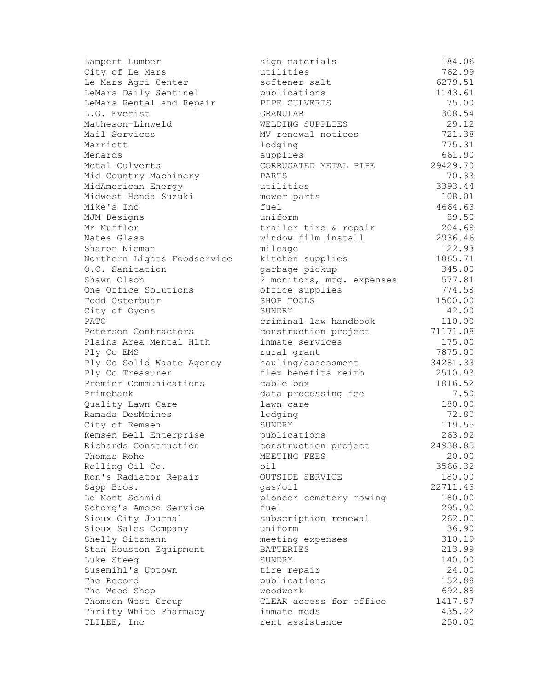| Lampert Lumber              | sign materials            | 184.06   |
|-----------------------------|---------------------------|----------|
| City of Le Mars             | utilities                 | 762.99   |
| Le Mars Agri Center         | softener salt             | 6279.51  |
| LeMars Daily Sentinel       | publications              | 1143.61  |
| LeMars Rental and Repair    | PIPE CULVERTS             | 75.00    |
| L.G. Everist                | GRANULAR                  | 308.54   |
| Matheson-Linweld            | WELDING SUPPLIES          | 29.12    |
| Mail Services               | MV renewal notices        | 721.38   |
| Marriott                    | lodging                   | 775.31   |
| Menards                     | supplies                  | 661.90   |
| Metal Culverts              | CORRUGATED METAL PIPE     | 29429.70 |
| Mid Country Machinery       | PARTS                     | 70.33    |
| MidAmerican Energy          | utilities                 | 3393.44  |
| Midwest Honda Suzuki        | mower parts               | 108.01   |
| Mike's Inc                  | fuel                      | 4664.63  |
| MJM Designs                 | uniform                   | 89.50    |
| Mr Muffler                  | trailer tire & repair     | 204.68   |
| Nates Glass                 | window film install       | 2936.46  |
| Sharon Nieman               | mileage                   | 122.93   |
| Northern Lights Foodservice | kitchen supplies          | 1065.71  |
| O.C. Sanitation             | garbage pickup            | 345.00   |
| Shawn Olson                 | 2 monitors, mtg. expenses | 577.81   |
| One Office Solutions        | office supplies           | 774.58   |
| Todd Osterbuhr              | SHOP TOOLS                | 1500.00  |
| City of Oyens               | SUNDRY                    | 42.00    |
| PATC                        | criminal law handbook     | 110.00   |
| Peterson Contractors        | construction project      | 71171.08 |
| Plains Area Mental Hlth     | inmate services           | 175.00   |
| Ply Co EMS                  | rural grant               | 7875.00  |
| Ply Co Solid Waste Agency   | hauling/assessment        | 34281.33 |
| Ply Co Treasurer            | flex benefits reimb       | 2510.93  |
| Premier Communications      | cable box                 | 1816.52  |
| Primebank                   | data processing fee       | 7.50     |
| Quality Lawn Care           | lawn care                 | 180.00   |
| Ramada DesMoines            | lodging                   | 72.80    |
| City of Remsen              | SUNDRY                    | 119.55   |
| Remsen Bell Enterprise      | publications              | 263.92   |
| Richards Construction       | construction project      | 24938.85 |
| Thomas Rohe                 | MEETING FEES              | 20.00    |
| Rolling Oil Co.             | oil                       | 3566.32  |
| Ron's Radiator Repair       | OUTSIDE SERVICE           | 180.00   |
| Sapp Bros.                  | gas/oil                   | 22711.43 |
| Le Mont Schmid              | pioneer cemetery mowing   | 180.00   |
| Schorg's Amoco Service      | fuel                      | 295.90   |
| Sioux City Journal          | subscription renewal      | 262.00   |
| Sioux Sales Company         | uniform                   | 36.90    |
| Shelly Sitzmann             | meeting expenses          | 310.19   |
| Stan Houston Equipment      | <b>BATTERIES</b>          | 213.99   |
| Luke Steeg                  | SUNDRY                    | 140.00   |
| Susemihl's Uptown           | tire repair               | 24.00    |
| The Record                  | publications              | 152.88   |
| The Wood Shop               | woodwork                  | 692.88   |
| Thomson West Group          | CLEAR access for office   | 1417.87  |
| Thrifty White Pharmacy      | inmate meds               | 435.22   |
| TLILEE, Inc                 | rent assistance           | 250.00   |